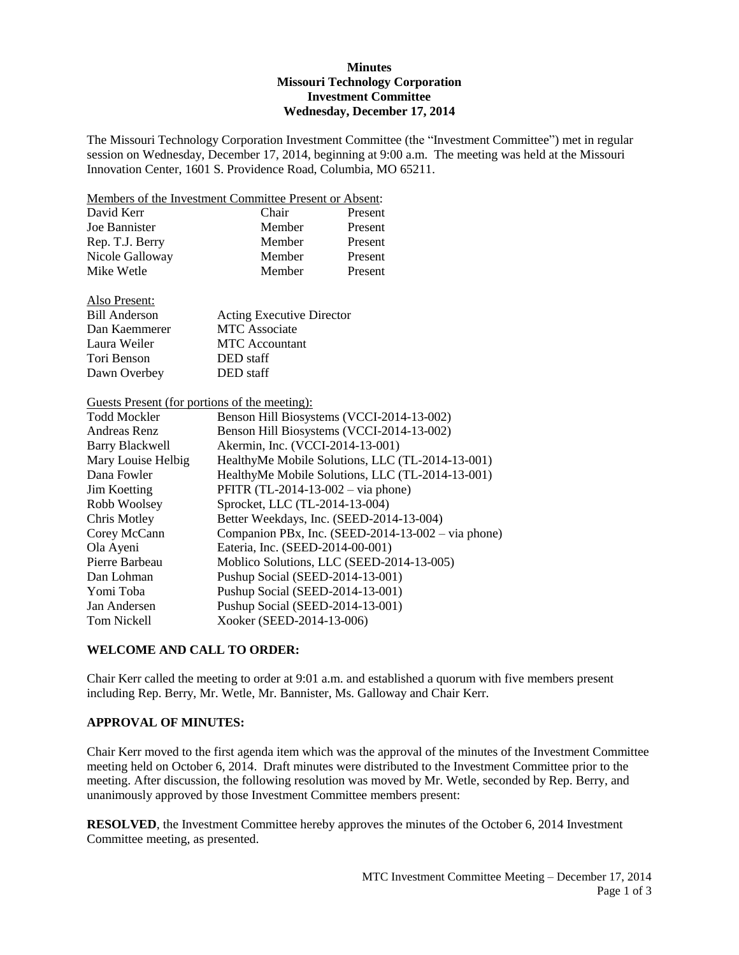#### **Minutes Missouri Technology Corporation Investment Committee Wednesday, December 17, 2014**

The Missouri Technology Corporation Investment Committee (the "Investment Committee") met in regular session on Wednesday, December 17, 2014, beginning at 9:00 a.m. The meeting was held at the Missouri Innovation Center, 1601 S. Providence Road, Columbia, MO 65211.

Members of the Investment Committee Present or Absent:

| David Kerr      | Chair  | Present |
|-----------------|--------|---------|
| Joe Bannister   | Member | Present |
| Rep. T.J. Berry | Member | Present |
| Nicole Galloway | Member | Present |
| Mike Wetle      | Member | Present |

Also Present:

| <b>Bill Anderson</b> | <b>Acting Executive Director</b> |
|----------------------|----------------------------------|
| Dan Kaemmerer        | <b>MTC</b> Associate             |
| Laura Weiler         | <b>MTC</b> Accountant            |
| Tori Benson          | DED staff                        |
| Dawn Overbey         | DED staff                        |

Guests Present (for portions of the meeting):

| <b>Todd Mockler</b>    | Benson Hill Biosystems (VCCI-2014-13-002)          |
|------------------------|----------------------------------------------------|
| Andreas Renz           | Benson Hill Biosystems (VCCI-2014-13-002)          |
| <b>Barry Blackwell</b> | Akermin, Inc. (VCCI-2014-13-001)                   |
| Mary Louise Helbig     | HealthyMe Mobile Solutions, LLC (TL-2014-13-001)   |
| Dana Fowler            | HealthyMe Mobile Solutions, LLC (TL-2014-13-001)   |
| Jim Koetting           | PFITR $(TL-2014-13-002 - via phone)$               |
| Robb Woolsey           | Sprocket, LLC (TL-2014-13-004)                     |
| Chris Motley           | Better Weekdays, Inc. (SEED-2014-13-004)           |
| Corey McCann           | Companion PBx, Inc. (SEED-2014-13-002 – via phone) |
| Ola Ayeni              | Eateria, Inc. (SEED-2014-00-001)                   |
| Pierre Barbeau         | Moblico Solutions, LLC (SEED-2014-13-005)          |
| Dan Lohman             | Pushup Social (SEED-2014-13-001)                   |
| Yomi Toba              | Pushup Social (SEED-2014-13-001)                   |
| Jan Andersen           | Pushup Social (SEED-2014-13-001)                   |
| Tom Nickell            | Xooker (SEED-2014-13-006)                          |

## **WELCOME AND CALL TO ORDER:**

Chair Kerr called the meeting to order at 9:01 a.m. and established a quorum with five members present including Rep. Berry, Mr. Wetle, Mr. Bannister, Ms. Galloway and Chair Kerr.

### **APPROVAL OF MINUTES:**

Chair Kerr moved to the first agenda item which was the approval of the minutes of the Investment Committee meeting held on October 6, 2014. Draft minutes were distributed to the Investment Committee prior to the meeting. After discussion, the following resolution was moved by Mr. Wetle, seconded by Rep. Berry, and unanimously approved by those Investment Committee members present:

**RESOLVED**, the Investment Committee hereby approves the minutes of the October 6, 2014 Investment Committee meeting, as presented.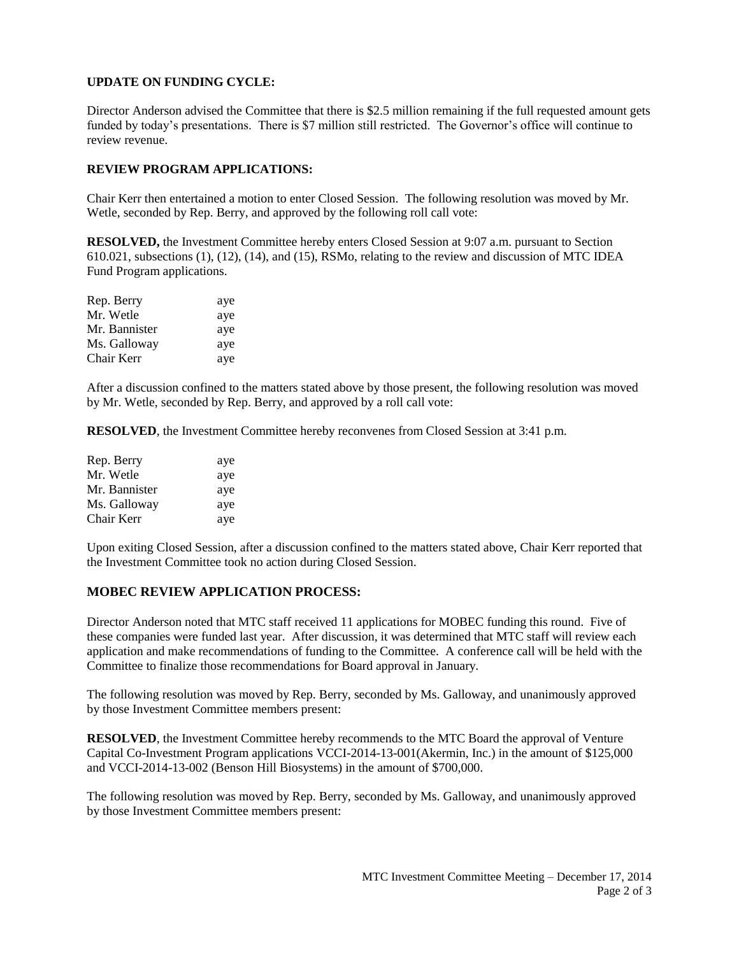# **UPDATE ON FUNDING CYCLE:**

Director Anderson advised the Committee that there is \$2.5 million remaining if the full requested amount gets funded by today's presentations. There is \$7 million still restricted. The Governor's office will continue to review revenue.

# **REVIEW PROGRAM APPLICATIONS:**

Chair Kerr then entertained a motion to enter Closed Session. The following resolution was moved by Mr. Wetle, seconded by Rep. Berry, and approved by the following roll call vote:

**RESOLVED,** the Investment Committee hereby enters Closed Session at 9:07 a.m. pursuant to Section 610.021, subsections (1), (12), (14), and (15), RSMo, relating to the review and discussion of MTC IDEA Fund Program applications.

| Rep. Berry    | aye |
|---------------|-----|
| Mr. Wetle     | aye |
| Mr. Bannister | aye |
| Ms. Galloway  | aye |
| Chair Kerr    | aye |

After a discussion confined to the matters stated above by those present, the following resolution was moved by Mr. Wetle, seconded by Rep. Berry, and approved by a roll call vote:

**RESOLVED**, the Investment Committee hereby reconvenes from Closed Session at 3:41 p.m.

| Rep. Berry    | aye |
|---------------|-----|
| Mr. Wetle     | aye |
| Mr. Bannister | aye |
| Ms. Galloway  | aye |
| Chair Kerr    | aye |

Upon exiting Closed Session, after a discussion confined to the matters stated above, Chair Kerr reported that the Investment Committee took no action during Closed Session.

## **MOBEC REVIEW APPLICATION PROCESS:**

Director Anderson noted that MTC staff received 11 applications for MOBEC funding this round. Five of these companies were funded last year. After discussion, it was determined that MTC staff will review each application and make recommendations of funding to the Committee. A conference call will be held with the Committee to finalize those recommendations for Board approval in January.

The following resolution was moved by Rep. Berry, seconded by Ms. Galloway, and unanimously approved by those Investment Committee members present:

**RESOLVED**, the Investment Committee hereby recommends to the MTC Board the approval of Venture Capital Co-Investment Program applications VCCI-2014-13-001(Akermin, Inc.) in the amount of \$125,000 and VCCI-2014-13-002 (Benson Hill Biosystems) in the amount of \$700,000.

The following resolution was moved by Rep. Berry, seconded by Ms. Galloway, and unanimously approved by those Investment Committee members present: